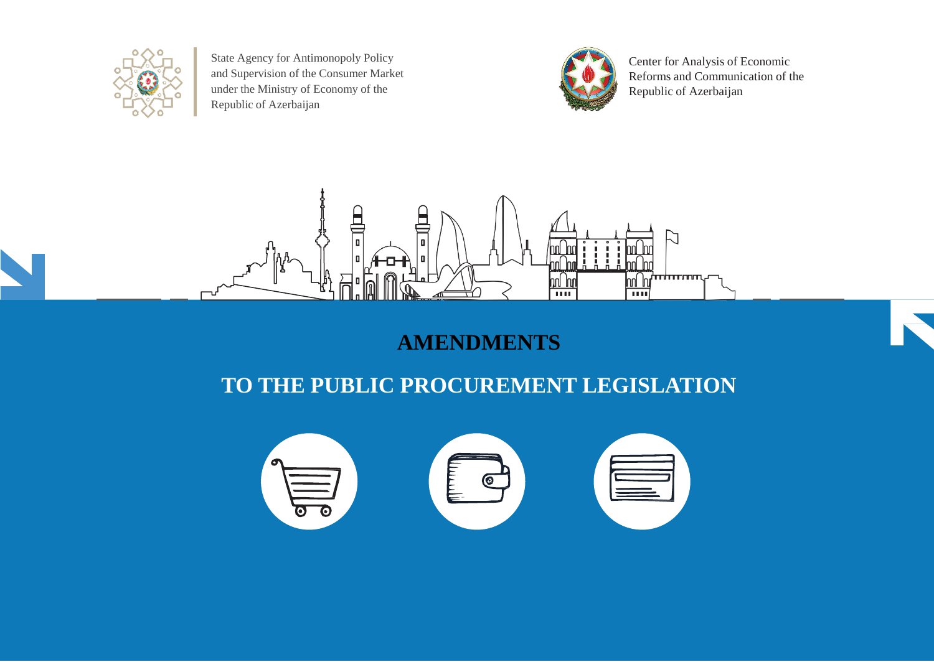

State Agency for Antimonopoly Policy and Supervision of the Consumer Market under the Ministry of Economy of the Republic of Azerbaijan



Center for Analysis of Economic Reforms and Communication of the Republic of Azerbaijan



## **AMENDMENTS**

## **TO THE PUBLIC PROCUREMENT LEGISLATION**

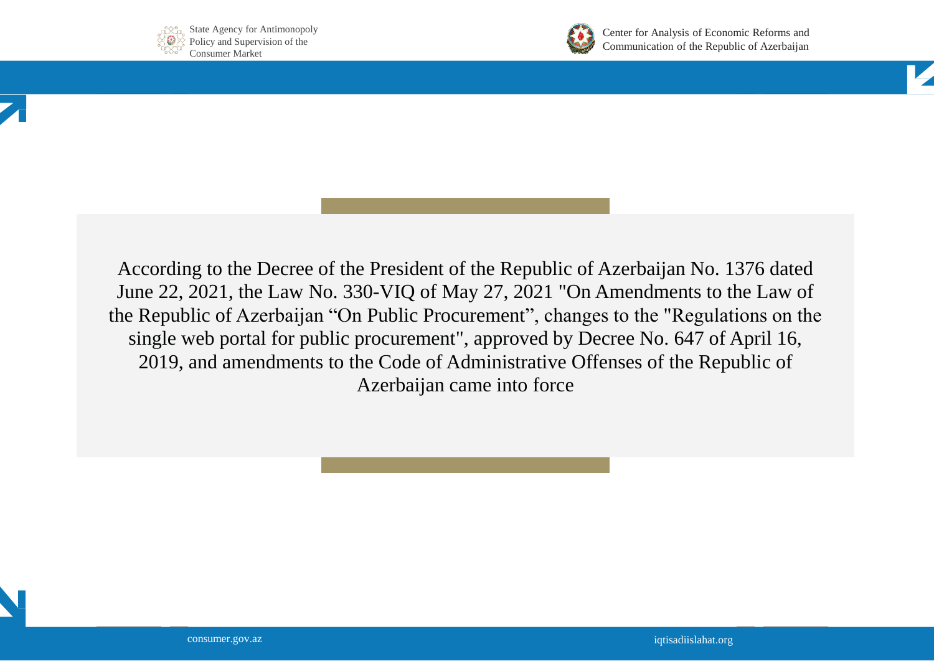



Center for Analysis of Economic Reforms and Communication of the Republic of Azerbaijan



According to the Decree of the President of the Republic of Azerbaijan No. 1376 dated June 22, 2021, the Law No. 330-VIQ of May 27, 2021 "On Amendments to the Law of the Republic of Azerbaijan "On Public Procurement", changes to the "Regulations on the single web portal for public procurement", approved by Decree No. 647 of April 16, 2019, and amendments to the Code of Administrative Offenses of the Republic of Azerbaijan came into force

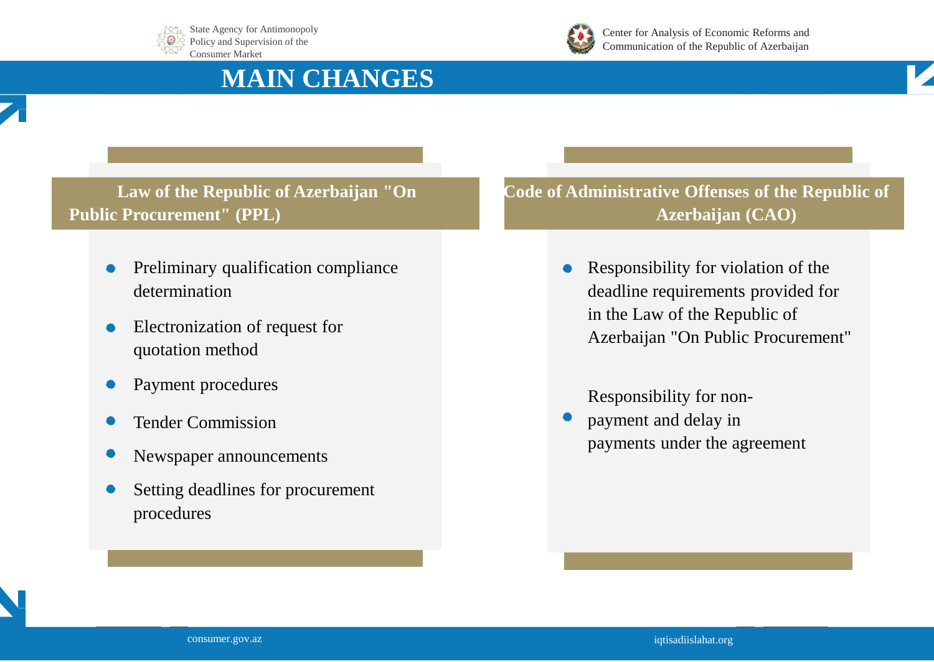





Center for Analysis of Economic Reforms and Communication of the Republic of Azerbaijan

# **MAIN CHANGES**



- Preliminary qualification compliance determination
- Electronization of request for  $\bullet$ quotation method
- Payment procedures
- Tender Commission
- Newspaper announcements
- Setting deadlines for procurement procedures

**Code of Administrative Offenses of the Republic of Azerbaijan (CAO)**

> Responsibility for violation of the  $\bullet$ deadline requirements provided for in the Law of the Republic of Azerbaijan "On Public Procurement"

Responsibility for non-

payment and delay in payments under the agreement

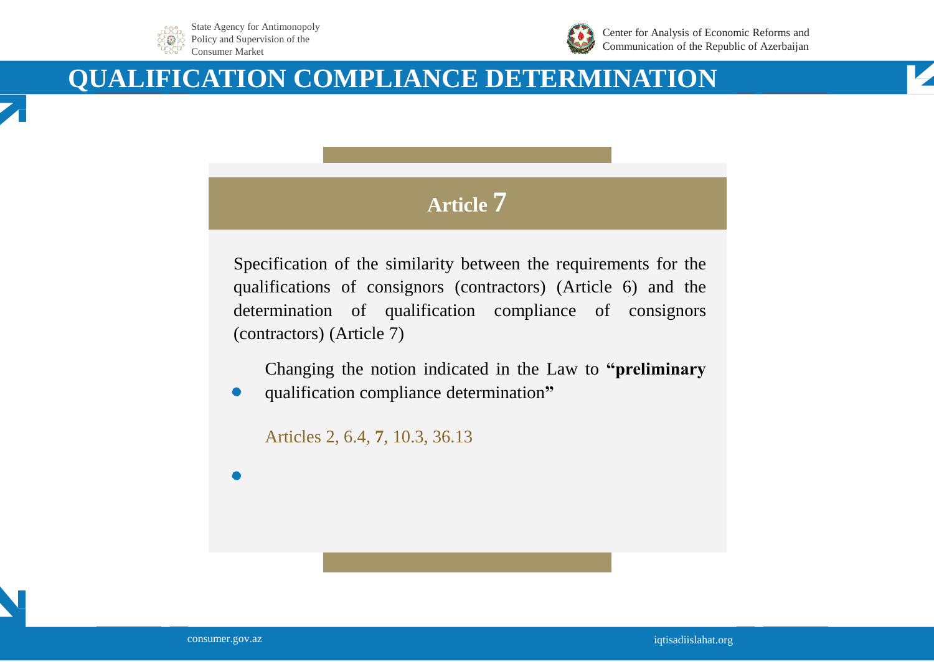



Center for Analysis of Economic Reforms and Communication of the Republic of Azerbaijan

# **QUALIFICATION COMPLIANCE DETERMINATION**



Specification of the similarity between the requirements for the qualifications of consignors (contractors) (Article 6) and the determination of qualification compliance of consignors (contractors) (Article 7)

Changing the notion indicated in the Law to **"preliminary**

qualification compliance determination**"**

Articles 2, 6.4, **7**, 10.3, 36.13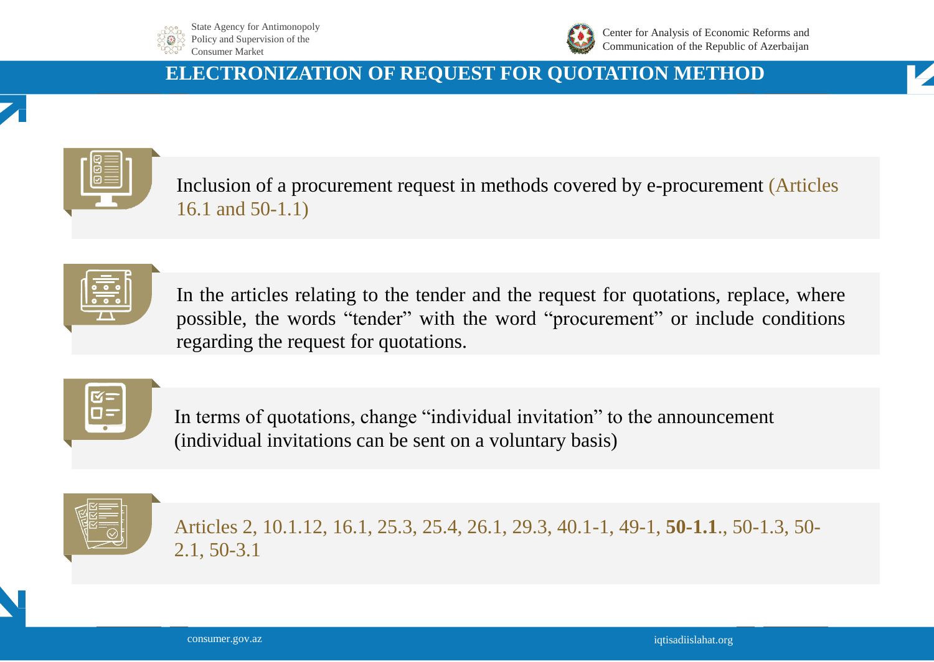



Center for Analysis of Economic Reforms and Communication of the Republic of Azerbaijan

### **ELECTRONIZATION OF REQUEST FOR QUOTATION METHOD**

Inclusion of a procurement request in methods covered by e-procurement (Articles 16.1 and 50-1.1)

| the control of the control of |  |
|-------------------------------|--|
|                               |  |
|                               |  |

In the articles relating to the tender and the request for quotations, replace, where possible, the words "tender" with the word "procurement" or include conditions regarding the request for quotations.



In terms of quotations, change "individual invitation" to the announcement (individual invitations can be sent on a voluntary basis)



Articles 2, 10.1.12, 16.1, 25.3, 25.4, 26.1, 29.3, 40.1-1, 49-1, **50-1.1**., 50-1.3, 50- 2.1, 50-3.1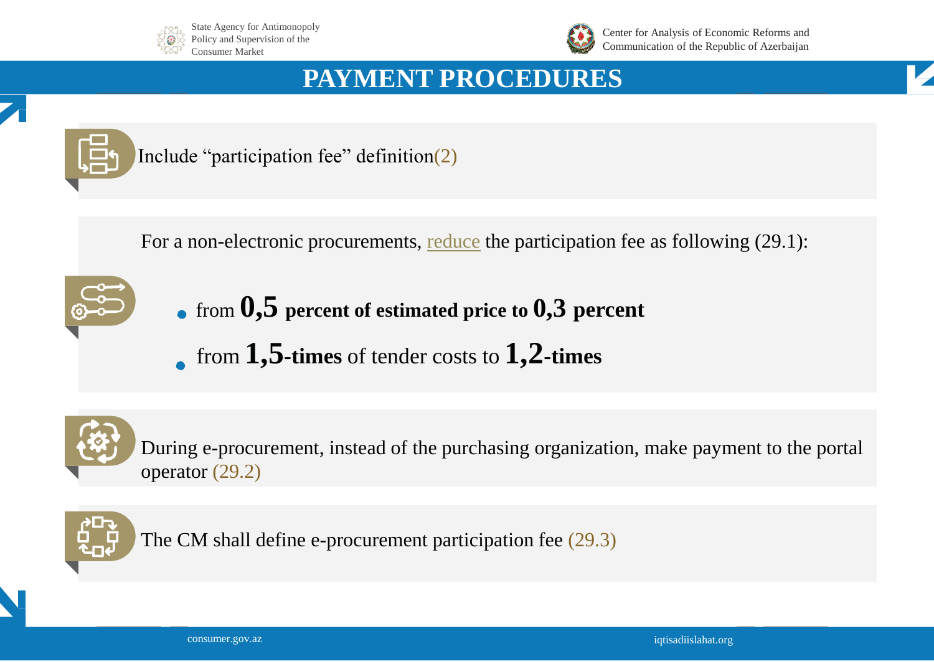



Center for Analysis of Economic Reforms and Communication of the Republic of Azerbaijan

# **PAYMENT PROCEDURES**





Include "participation fee" definition(2)

For a non-electronic procurements, <u>reduce</u> the participation fee as following (29.1):



- from **0,5 percent of estimated price to 0,3 percent**
- from **1,5-times** of tender costs to **1,2-times**



During e-procurement, instead of the purchasing organization, make payment to the portal operator (29.2)



The CM shall define e-procurement participation fee (29.3)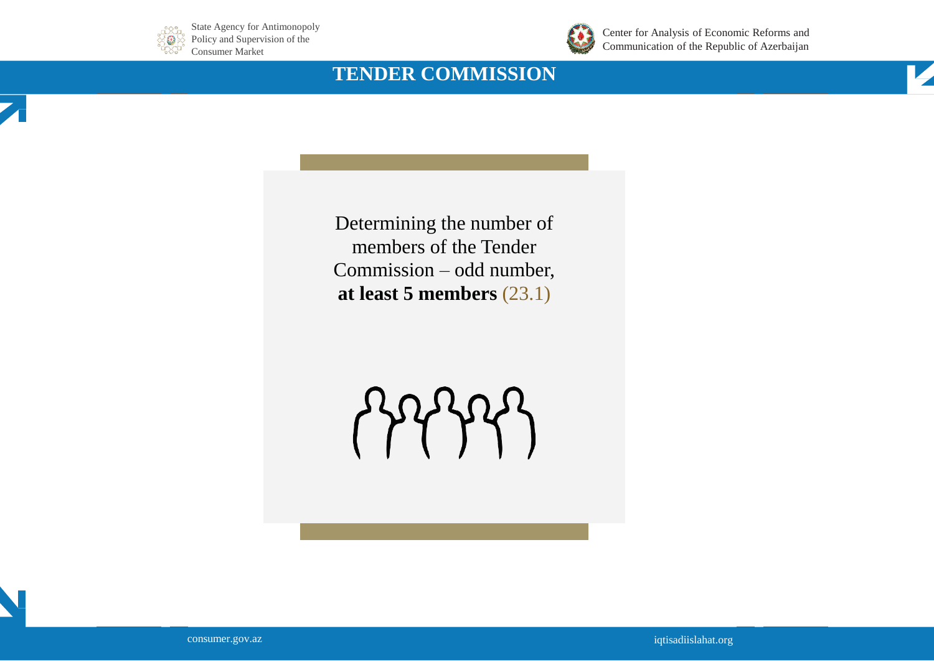



Center for Analysis of Economic Reforms and Communication of the Republic of Azerbaijan

## **TENDER COMMISSION**

Determining the number of members of the Tender Commission – odd number, **at least 5 members** (23.1)



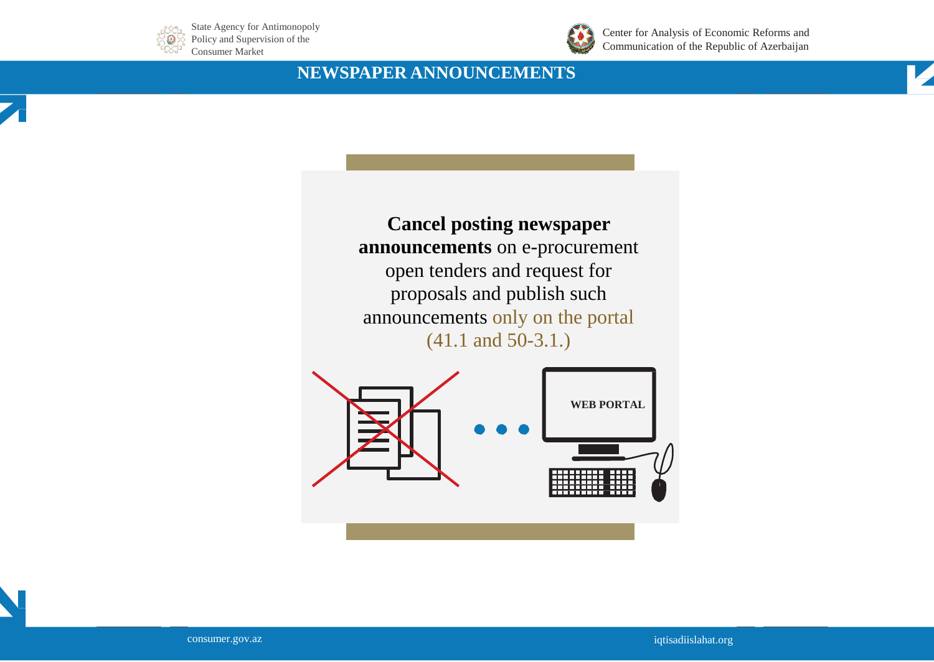



Center for Analysis of Economic Reforms and Communication of the Republic of Azerbaijan

#### **NEWSPAPER ANNOUNCEMENTS**



**Cancel posting newspaper announcements** on e-procurement open tenders and request for proposals and publish such announcements only on the portal (41.1 and 50-3.1.)



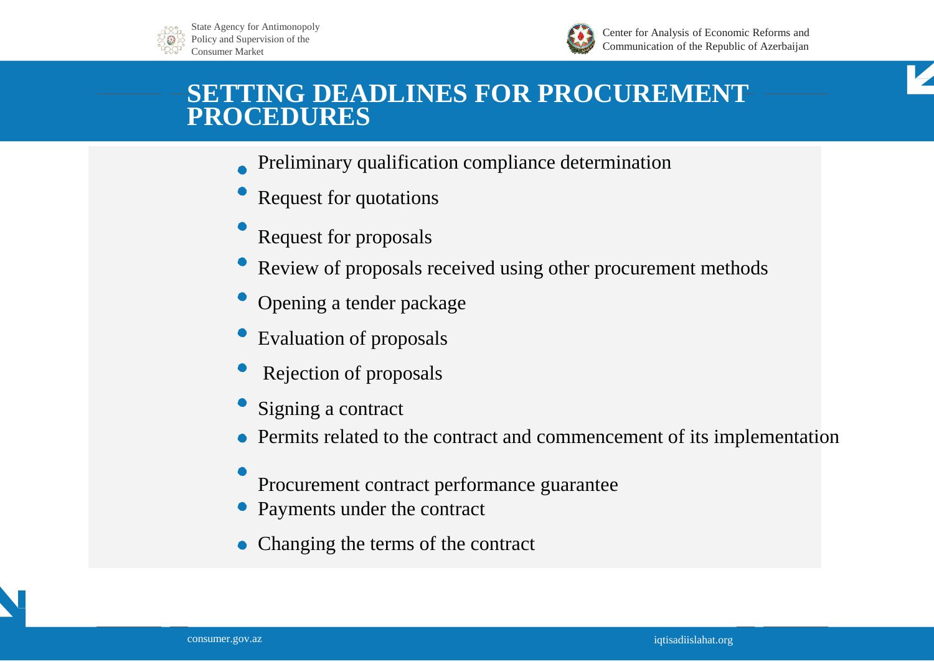



Center for Analysis of Economic Reforms and Communication of the Republic of Azerbaijan



# **SETTING DEADLINES FOR PROCUREMENT PROCEDURES**

- Preliminary qualification compliance determination
- Request for quotations
- Request for proposals
- Review of proposals received using other procurement methods
- Opening a tender package
- Evaluation of proposals
- Rejection of proposals
- Signing a contract
- Permits related to the contract and commencement of its implementation
- Procurement contract performance guarantee
- Payments under the contract
- Changing the terms of the contract

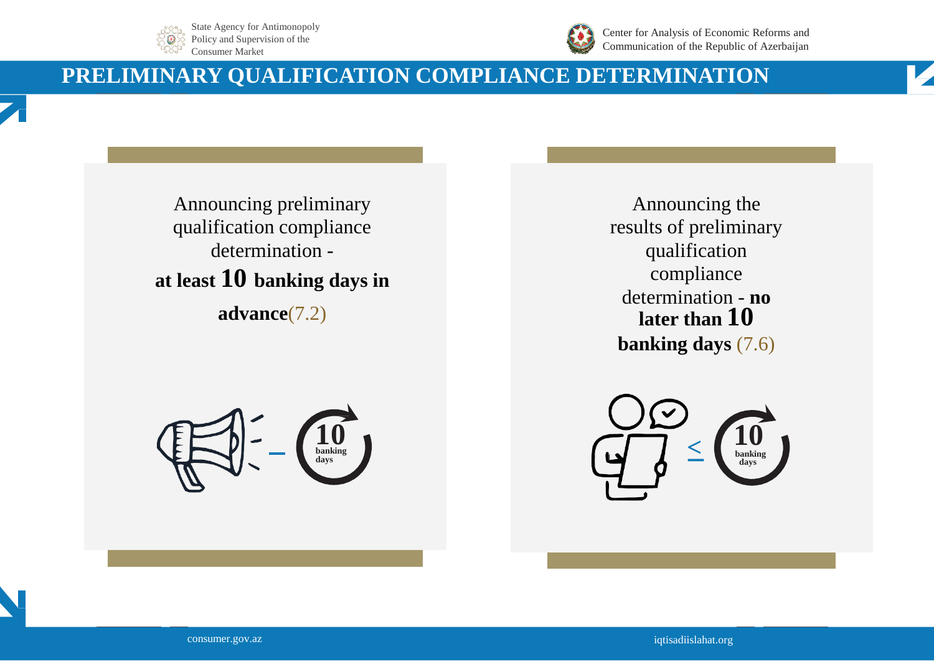



Center for Analysis of Economic Reforms and Communication of the Republic of Azerbaijan

# **PRELIMINARY QUALIFICATION COMPLIANCE DETERMINATION**

Announcing preliminary qualification compliance determination **at least 10 banking days in advance**(7.2)

**10 banking days**

Announcing the results of preliminary qualification compliance determination - **no later than 10 banking days** (7.6)



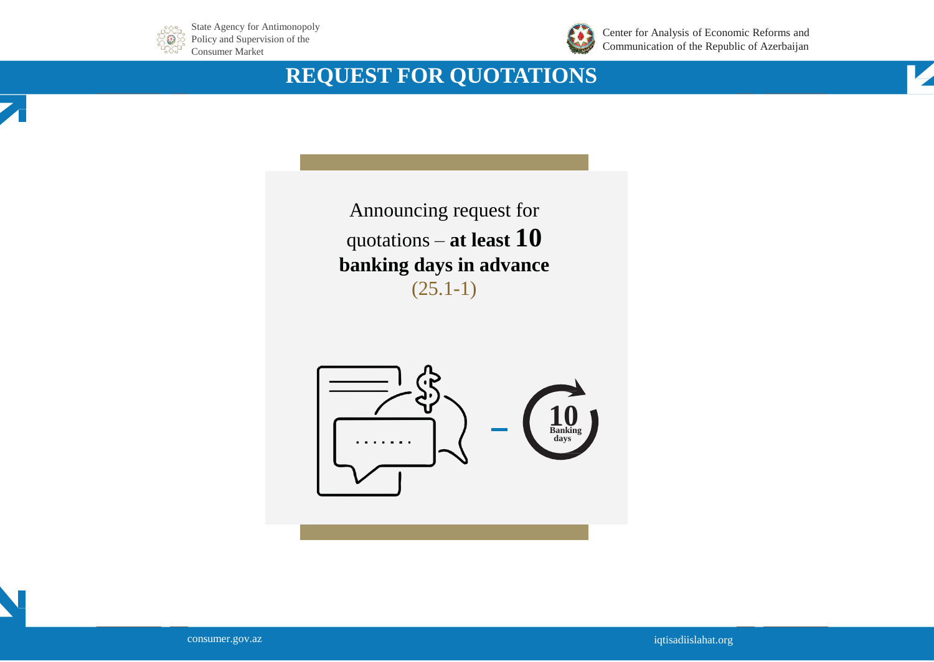



Center for Analysis of Economic Reforms and Communication of the Republic of Azerbaijan

# **REQUEST FOR QUOTATIONS**





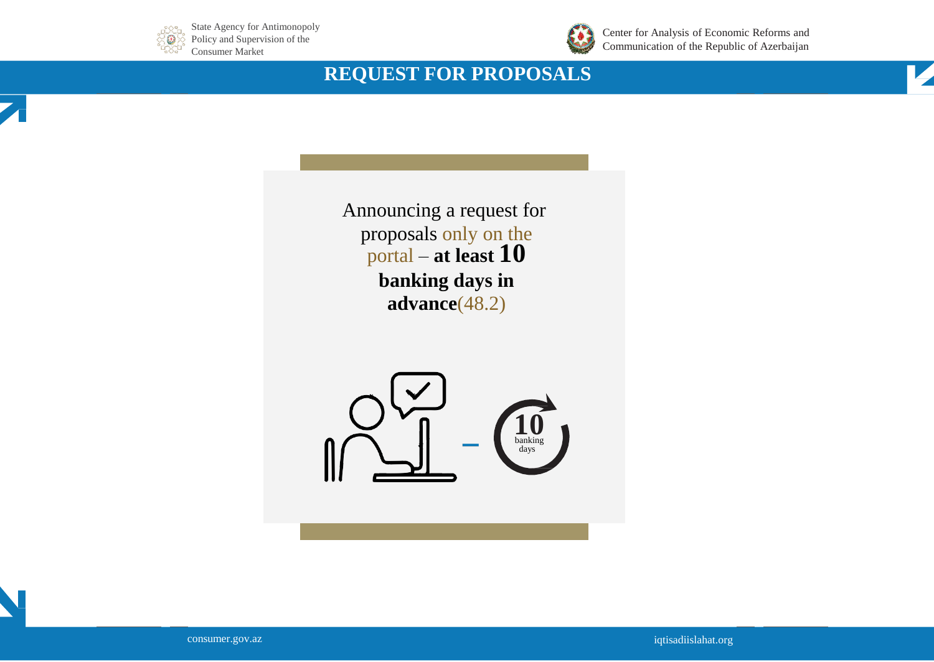



Center for Analysis of Economic Reforms and Communication of the Republic of Azerbaijan

## **REQUEST FOR PROPOSALS**



Announcing a request for proposals only on the portal – **at least 10 banking days in advance**(48.2)



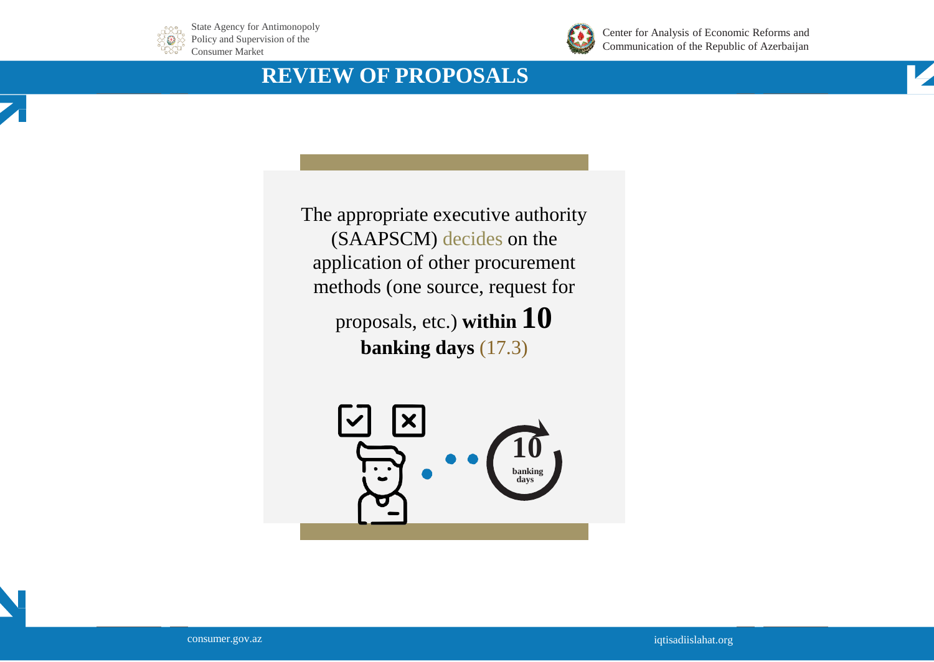



Center for Analysis of Economic Reforms and Communication of the Republic of Azerbaijan

## **REVIEW OF PROPOSALS**



The appropriate executive authority (SAAPSCM) decides on the application of other procurement methods (one source, request for proposals, etc.) **within 10** 

**banking days** (17.3)



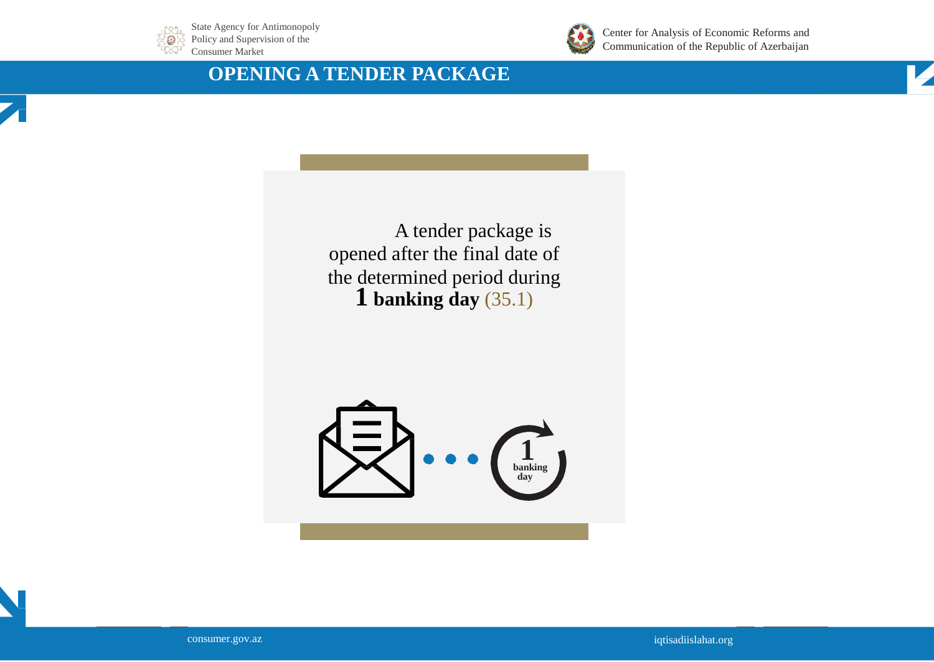



Center for Analysis of Economic Reforms and Communication of the Republic of Azerbaijan

### **OPENING A TENDER PACKAGE**



A tender package is opened after the final date of the determined period during **1 banking day** (35.1)



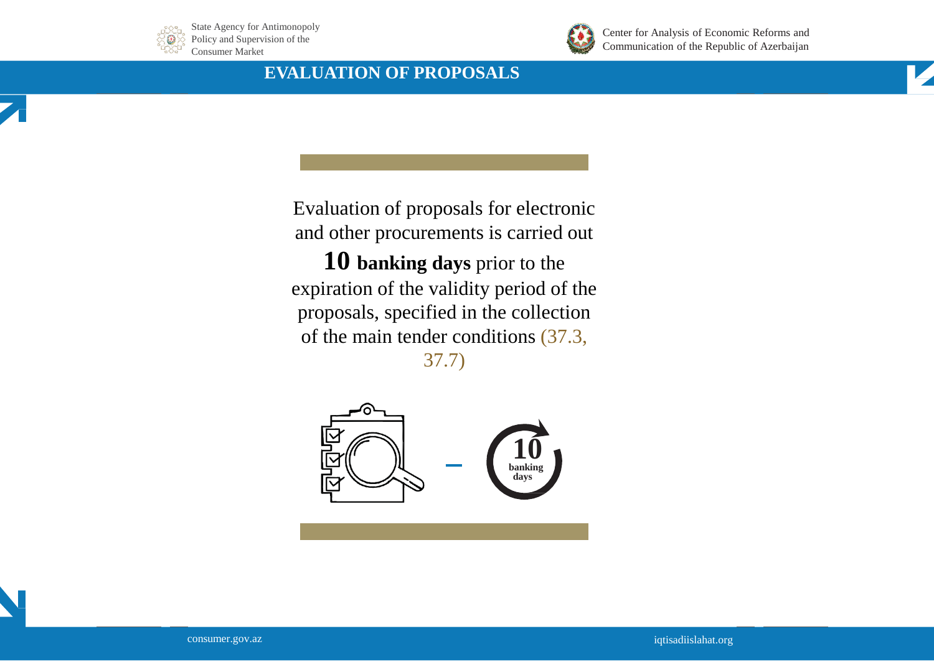



Center for Analysis of Economic Reforms and Communication of the Republic of Azerbaijan

#### **EVALUATION OF PROPOSALS**

Evaluation of proposals for electronic and other procurements is carried out

**10 banking days** prior to the expiration of the validity period of the proposals, specified in the collection of the main tender conditions (37.3, 37.7)



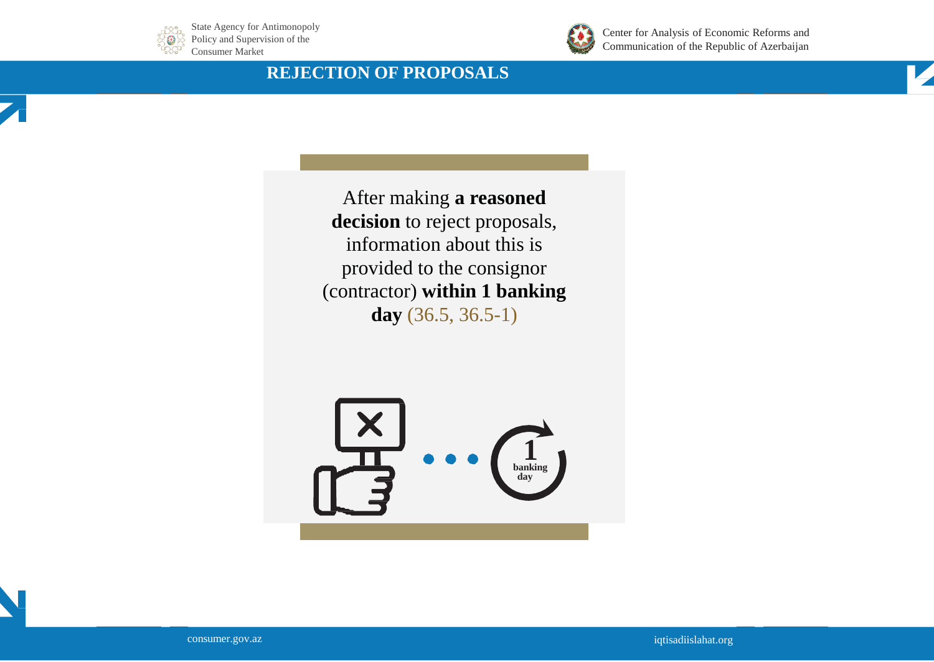



Center for Analysis of Economic Reforms and Communication of the Republic of Azerbaijan

#### **REJECTION OF PROPOSALS**

After making **a reasoned decision** to reject proposals, information about this is provided to the consignor (contractor) **within 1 banking day** (36.5, 36.5-1)



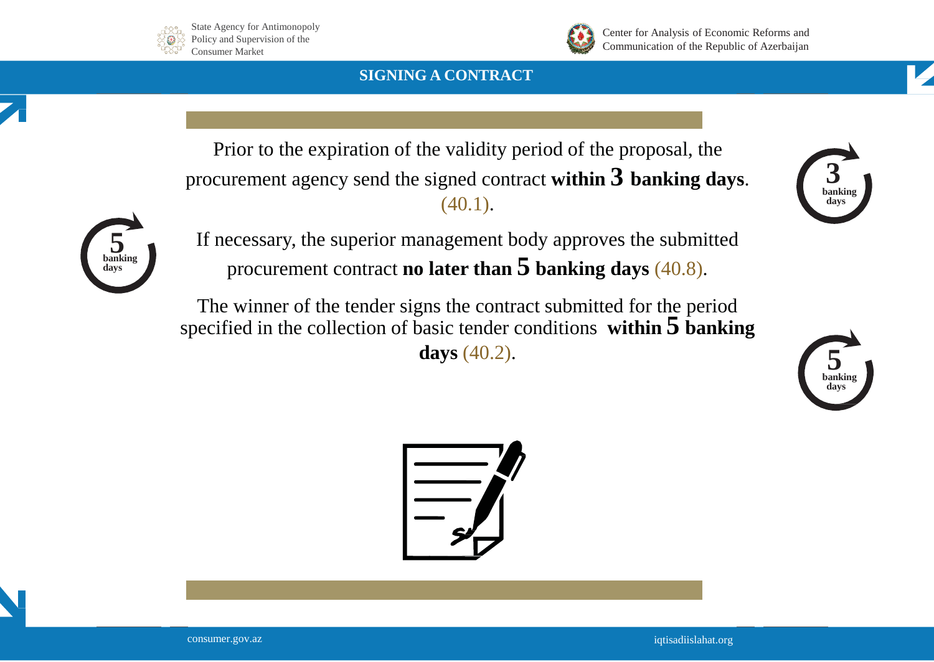



Center for Analysis of Economic Reforms and Communication of the Republic of Azerbaijan

#### **SIGNING A CONTRACT**



Prior to the expiration of the validity period of the proposal, the procurement agency send the signed contract **within 3 banking days**. (40.1).



If necessary, the superior management body approves the submitted procurement contract **no later than 5 banking days** (40.8).

The winner of the tender signs the contract submitted for the period specified in the collection of basic tender conditions **within 5 banking days** (40.2).



**3 banking** 

**days**



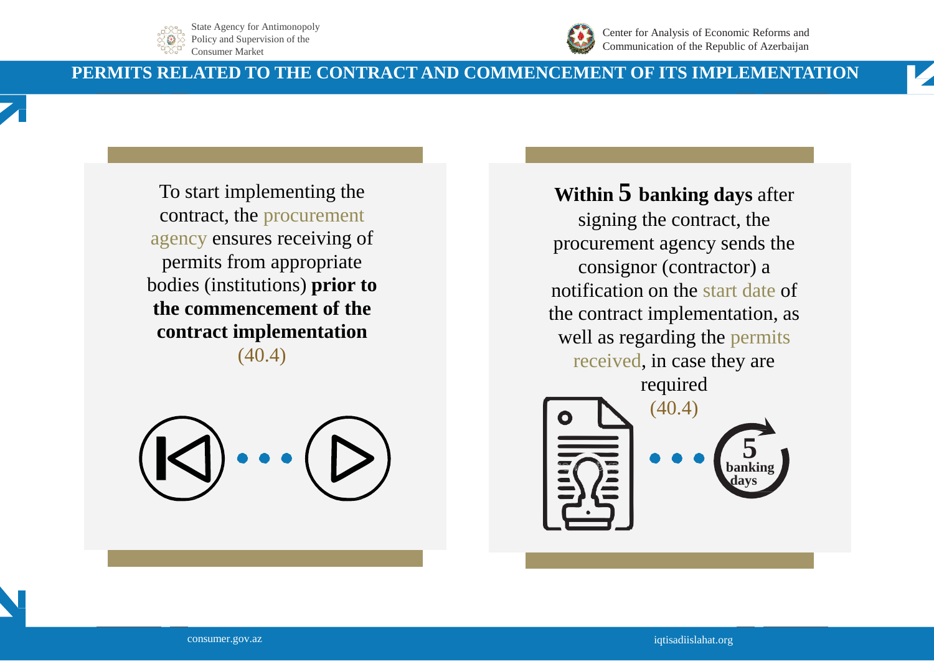



Center for Analysis of Economic Reforms and Communication of the Republic of Azerbaijan

#### **PERMITS RELATED TO THE CONTRACT AND COMMENCEMENT OF ITS IMPLEMENTATION**

To start implementing the contract, the procurement agency ensures receiving of permits from appropriate bodies (institutions) **prior to the commencement of the contract implementation**  (40.4)

### **Within 5 banking days** after

signing the contract, the procurement agency sends the consignor (contractor) a notification on the start date of the contract implementation, as well as regarding the permits received, in case they are required



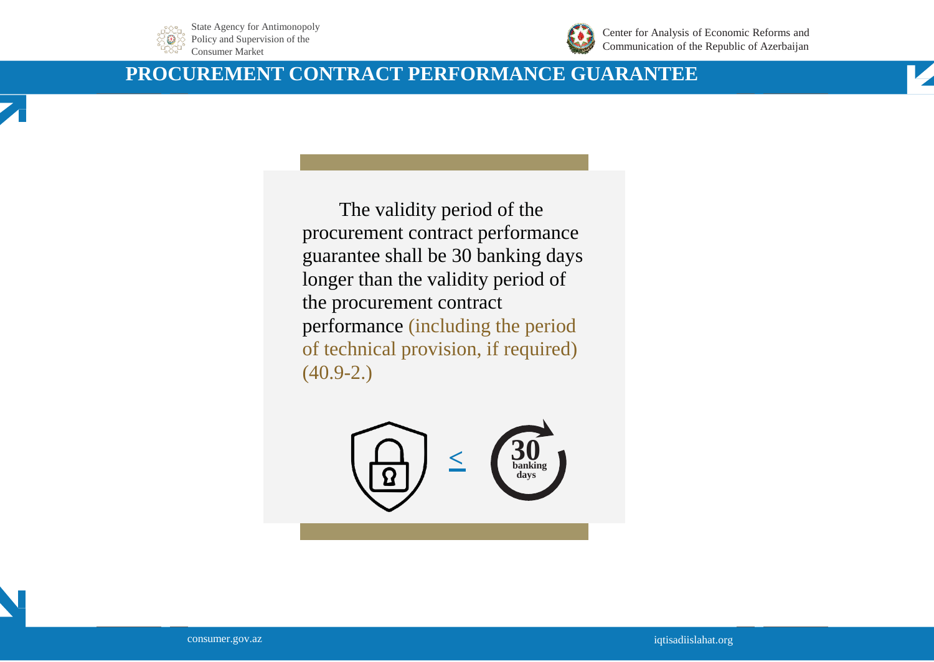



Center for Analysis of Economic Reforms and Communication of the Republic of Azerbaijan

#### **PROCUREMENT CONTRACT PERFORMANCE GUARANTEE**





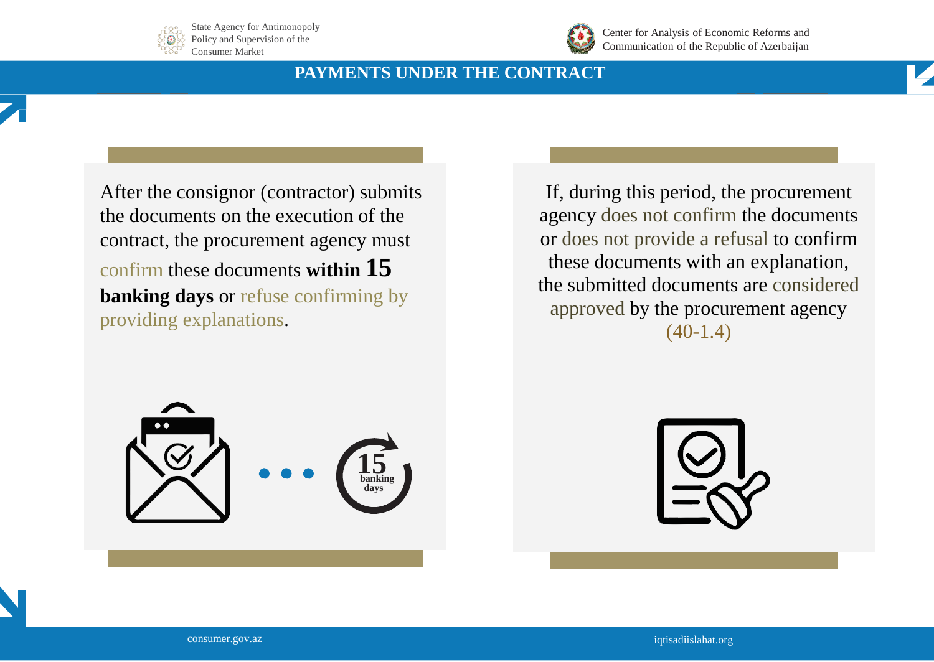



Center for Analysis of Economic Reforms and Communication of the Republic of Azerbaijan

#### **PAYMENTS UNDER THE CONTRACT**

After the consignor (contractor) submits the documents on the execution of the contract, the procurement agency must confirm these documents **within 15 banking days** or refuse confirming by providing explanations.

If, during this period, the procurement agency does not confirm the documents or does not provide a refusal to confirm these documents with an explanation, the submitted documents are considered approved by the procurement agency  $(40-1.4)$ 



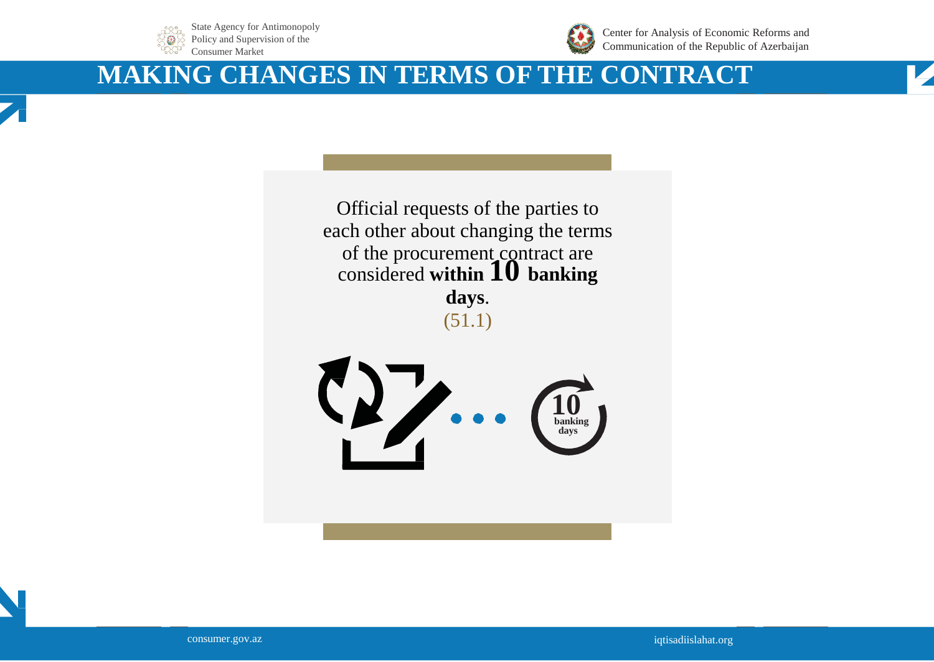



Center for Analysis of Economic Reforms and Communication of the Republic of Azerbaijan

# **MAKING CHANGES IN TERMS OF THE CONTRACT**





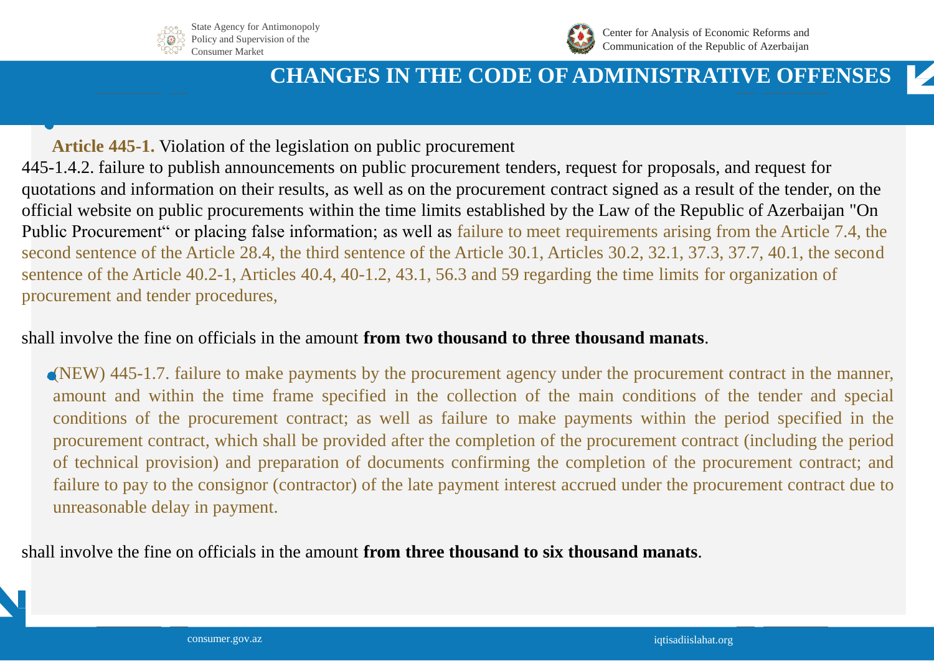



# **CHANGES IN THE CODE OF ADMINISTRATIVE OFFENSES**

**Article 445-1.** Violation of the legislation on public procurement 445-1.4.2. failure to publish announcements on public procurement tenders, request for proposals, and request for quotations and information on their results, as well as on the procurement contract signed as a result of the tender, on the official website on public procurements within the time limits established by the Law of the Republic of Azerbaijan "On Public Procurement" or placing false information; as well as failure to meet requirements arising from the Article 7.4, the second sentence of the Article 28.4, the third sentence of the Article 30.1, Articles 30.2, 32.1, 37.3, 37.7, 40.1, the second sentence of the Article 40.2-1, Articles 40.4, 40-1.2, 43.1, 56.3 and 59 regarding the time limits for organization of procurement and tender procedures,

#### shall involve the fine on officials in the amount **from two thousand to three thousand manats**.

(NEW) 445-1.7. failure to make payments by the procurement agency under the procurement contract in the manner, amount and within the time frame specified in the collection of the main conditions of the tender and special conditions of the procurement contract; as well as failure to make payments within the period specified in the procurement contract, which shall be provided after the completion of the procurement contract (including the period of technical provision) and preparation of documents confirming the completion of the procurement contract; and failure to pay to the consignor (contractor) of the late payment interest accrued under the procurement contract due to unreasonable delay in payment.

shall involve the fine on officials in the amount **from three thousand to six thousand manats**.